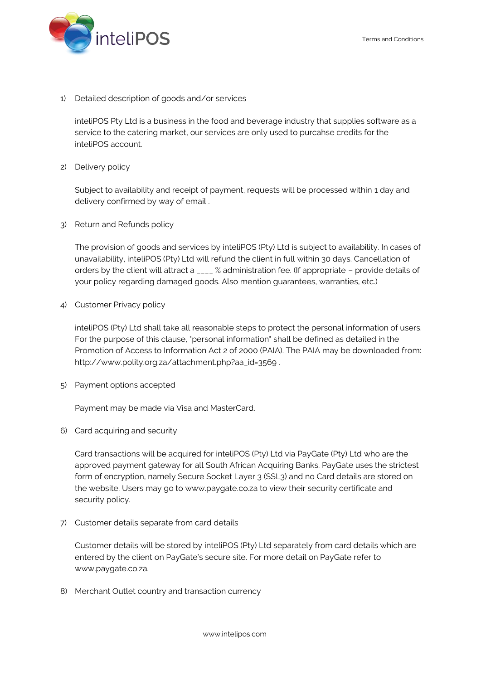

1) Detailed description of goods and/or services

inteliPOS Pty Ltd is a business in the food and beverage industry that supplies software as a service to the catering market, our services are only used to purcahse credits for the inteliPOS account.

2) Delivery policy

Subject to availability and receipt of payment, requests will be processed within 1 day and delivery confirmed by way of email .

3) Return and Refunds policy

The provision of goods and services by inteliPOS (Pty) Ltd is subject to availability. In cases of unavailability, inteliPOS (Pty) Ltd will refund the client in full within 30 days. Cancellation of orders by the client will attract a \_\_\_\_ % administration fee. (If appropriate – provide details of your policy regarding damaged goods. Also mention guarantees, warranties, etc.)

4) Customer Privacy policy

inteliPOS (Pty) Ltd shall take all reasonable steps to protect the personal information of users. For the purpose of this clause, "personal information" shall be defined as detailed in the Promotion of Access to Information Act 2 of 2000 (PAIA). The PAIA may be downloaded from: http://www.polity.org.za/attachment.php?aa\_id=3569 .

5) Payment options accepted

Payment may be made via Visa and MasterCard.

6) Card acquiring and security

Card transactions will be acquired for inteliPOS (Pty) Ltd via PayGate (Pty) Ltd who are the approved payment gateway for all South African Acquiring Banks. PayGate uses the strictest form of encryption, namely Secure Socket Layer 3 (SSL3) and no Card details are stored on the website. Users may go to www.paygate.co.za to view their security certificate and security policy.

7) Customer details separate from card details

Customer details will be stored by inteliPOS (Pty) Ltd separately from card details which are entered by the client on PayGate's secure site. For more detail on PayGate refer to www.paygate.co.za.

8) Merchant Outlet country and transaction currency